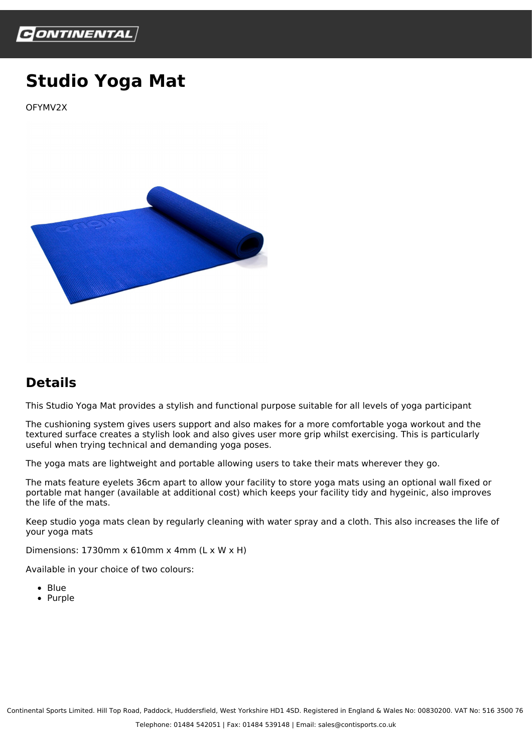

## **Studio Yoga Mat**

OFYMV2X



## **Details**

This Studio Yoga Mat provides a stylish and functional purpose suitable for all levels of yoga participant

The cushioning system gives users support and also makes for a more comfortable yoga workout and the textured surface creates a stylish look and also gives user more grip whilst exercising. This is particularly useful when trying technical and demanding yoga poses.

The yoga mats are lightweight and portable allowing users to take their mats wherever they go.

The mats feature eyelets 36cm apart to allow your facility to store yoga mats using an optional wall fixed or portable mat hanger (available at additional cost) which keeps your facility tidy and hygeinic, also improves the life of the mats.

Keep studio yoga mats clean by regularly cleaning with water spray and a cloth. This also increases the life of your yoga mats

Dimensions: 1730mm x 610mm x 4mm (L x W x H)

Available in your choice of two colours:

- Blue
- Purple